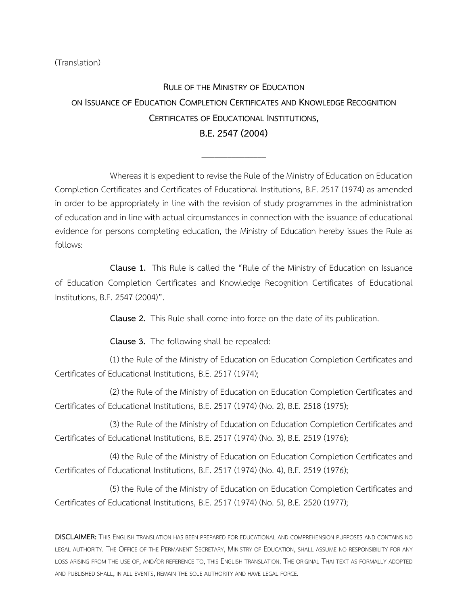## (Translation)

## **RULE OF THE MINISTRY OF EDUCATION ON ISSUANCE OF EDUCATION COMPLETION CERTIFICATES AND KNOWLEDGE RECOGNITION CERTIFICATES OF EDUCATIONAL INSTITUTIONS, B.E.2547(2004)**

\_\_\_\_\_\_\_\_\_\_\_\_\_\_\_

Whereas it is expedient to revise the Rule of the Ministry of Education on Education Completion Certificates and Certificates of Educational Institutions, B.E. 2517 (1974) as amended in order to be appropriately in line with the revision of study programmes in the administration of education and in line with actual circumstances in connection with the issuance of educational evidence for persons completing education, the Ministry of Education hereby issues the Rule as follows:

**Clause 1.** This Rule is called the "Rule of the Ministry of Education on Issuance of Education Completion Certificates and Knowledge Recognition Certificates of Educational Institutions, B.E. 2547 (2004)".

**Clause 2.** This Rule shall come into force on the date of its publication.

**Clause 3.** The following shall be repealed:

(1) the Rule of the Ministry of Education on Education Completion Certificates and Certificates of Educational Institutions, B.E. 2517 (1974);

(2) the Rule of the Ministry of Education on Education Completion Certificates and Certificates of Educational Institutions, B.E. 2517 (1974) (No. 2), B.E. 2518 (1975);

(3) the Rule of the Ministry of Education on Education Completion Certificates and Certificates of Educational Institutions, B.E. 2517 (1974) (No. 3), B.E. 2519 (1976);

(4) the Rule of the Ministry of Education on Education Completion Certificates and Certificates of Educational Institutions, B.E. 2517 (1974) (No. 4), B.E. 2519 (1976);

(5) the Rule of the Ministry of Education on Education Completion Certificates and Certificates of Educational Institutions, B.E. 2517 (1974) (No. 5), B.E. 2520 (1977);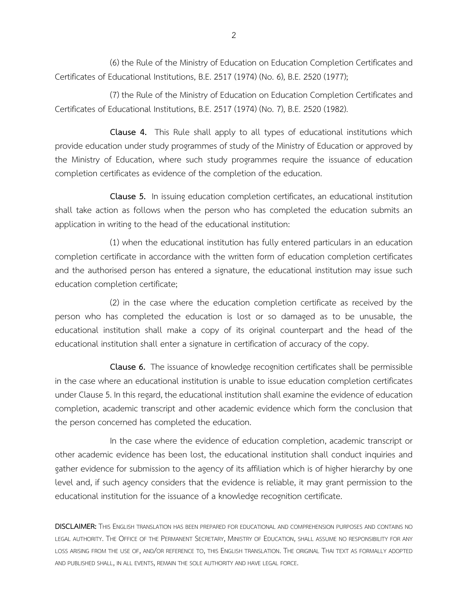(6) the Rule of the Ministry of Education on Education Completion Certificates and Certificates of Educational Institutions, B.E. 2517 (1974) (No. 6), B.E. 2520 (1977);

(7) the Rule of the Ministry of Education on Education Completion Certificates and Certificates of Educational Institutions, B.E. 2517 (1974) (No. 7), B.E. 2520 (1982).

**Clause 4.** This Rule shall apply to all types of educational institutions which provide education under study programmes of study of the Ministry of Education or approved by the Ministry of Education, where such study programmes require the issuance of education completion certificates as evidence of the completion of the education.

**Clause 5.** In issuing education completion certificates, an educational institution shall take action as follows when the person who has completed the education submits an application in writing to the head of the educational institution:

(1) when the educational institution has fully entered particulars in an education completion certificate in accordance with the written form of education completion certificates and the authorised person has entered a signature, the educational institution may issue such education completion certificate;

(2) in the case where the education completion certificate as received by the person who has completed the education is lost or so damaged as to be unusable, the educational institution shall make a copy of its original counterpart and the head of the educational institution shall enter a signature in certification of accuracy of the copy.

**Clause 6.** The issuance of knowledge recognition certificates shall be permissible in the case where an educational institution is unable to issue education completion certificates under Clause 5. In this regard, the educational institution shall examine the evidence of education completion, academic transcript and other academic evidence which form the conclusion that the person concerned has completed the education.

In the case where the evidence of education completion, academic transcript or other academic evidence has been lost, the educational institution shall conduct inquiries and gather evidence for submission to the agency of its affiliation which is of higher hierarchy by one level and, if such agency considers that the evidence is reliable, it may grant permission to the educational institution for the issuance of a knowledge recognition certificate.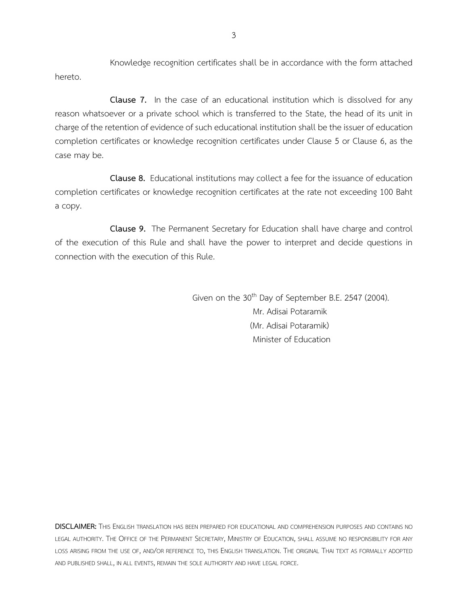Knowledge recognition certificates shall be in accordance with the form attached hereto.

**Clause 7.** In the case of an educational institution which is dissolved for any reason whatsoever or a private school which is transferred to the State, the head of its unit in charge of the retention of evidence of such educational institution shall be the issuer of education completion certificates or knowledge recognition certificates under Clause 5 or Clause 6, as the case may be.

**Clause 8.** Educational institutions may collect a fee for the issuance of education completion certificates or knowledge recognition certificates at the rate not exceeding 100 Baht a copy.

**Clause 9.** The Permanent Secretary for Education shall have charge and control of the execution of this Rule and shall have the power to interpret and decide questions in connection with the execution of this Rule.

> Given on the 30<sup>th</sup> Day of September B.E. 2547 (2004). Mr. Adisai Potaramik (Mr. Adisai Potaramik) Minister of Education